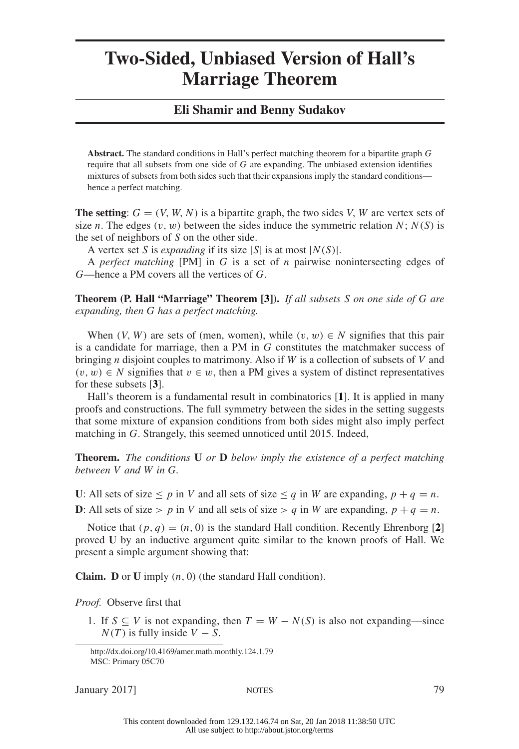## **Two-Sided, Unbiased Version of Hall's Marriage Theorem**

## **Eli Shamir and Benny Sudakov**

**Abstract.** The standard conditions in Hall's perfect matching theorem for a bipartite graph *G* require that all subsets from one side of *G* are expanding. The unbiased extension identifies mixtures of subsets from both sides such that their expansions imply the standard conditions hence a perfect matching.

**The setting**:  $G = (V, W, N)$  is a bipartite graph, the two sides *V*, *W* are vertex sets of size *n*. The edges  $(v, w)$  between the sides induce the symmetric relation  $N$ ;  $N(S)$  is the set of neighbors of *S* on the other side.

A vertex set *S* is *expanding* if its size  $|S|$  is at most  $|N(S)|$ .

A *perfect matching* [PM] in *G* is a set of *n* pairwise nonintersecting edges of *G*—hence a PM covers all the vertices of *G*.

**Theorem (P. Hall "Marriage" Theorem [3]).** *If all subsets S on one side of G are expanding, then G has a perfect matching.*

When  $(V, W)$  are sets of (men, women), while  $(v, w) \in N$  signifies that this pair is a candidate for marriage, then a PM in *G* constitutes the matchmaker success of bringing *n* disjoint couples to matrimony. Also if *W* is a collection of subsets of *V* and  $(v, w)$  ∈ *N* signifies that  $v ∈ w$ , then a PM gives a system of distinct representatives for these subsets [**3**].

Hall's theorem is a fundamental result in combinatorics [**1**]. It is applied in many proofs and constructions. The full symmetry between the sides in the setting suggests that some mixture of expansion conditions from both sides might also imply perfect matching in *G*. Strangely, this seemed unnoticed until 2015. Indeed,

**Theorem.** *The conditions* **U** *or* **D** *below imply the existence of a perfect matching between V and W in G.*

**U**: All sets of size  $\leq p$  in *V* and all sets of size  $\leq q$  in *W* are expanding,  $p + q = n$ . **D**: All sets of size > *p* in *V* and all sets of size > *q* in *W* are expanding,  $p + q = n$ .

Notice that  $(p, q) = (n, 0)$  is the standard Hall condition. Recently Ehrenborg [2] proved **U** by an inductive argument quite similar to the known proofs of Hall. We present a simple argument showing that:

**Claim. D** or **U** imply *(n,* 0*)* (the standard Hall condition).

*Proof.* Observe first that

1. If *S* ⊆ *V* is not expanding, then  $T = W - N(S)$  is also not expanding—since  $N(T)$  is fully inside  $V - S$ .

January 2017] NOTES 79

http://dx.doi.org/10.4169/amer.math.monthly.124.1.79 MSC: Primary 05C70